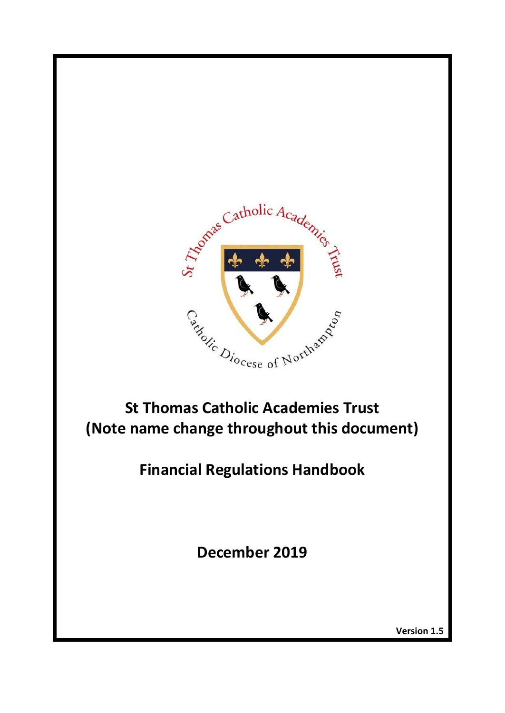

**St Thomas Catholic Academies Trust (Note name change throughout this document)**

**Financial Regulations Handbook**

**December 2019**

**Version 1.5**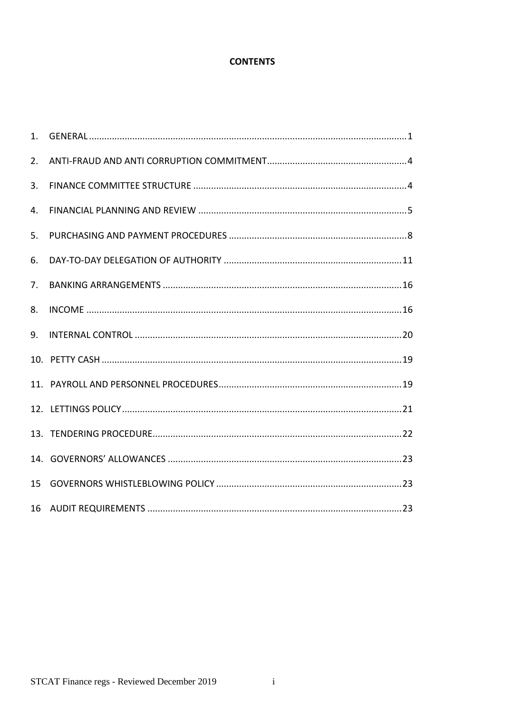# **CONTENTS**

| 1. |  |
|----|--|
| 2. |  |
| 3. |  |
| 4. |  |
| 5. |  |
| 6. |  |
| 7. |  |
| 8. |  |
| 9. |  |
|    |  |
|    |  |
|    |  |
|    |  |
|    |  |
| 15 |  |
| 16 |  |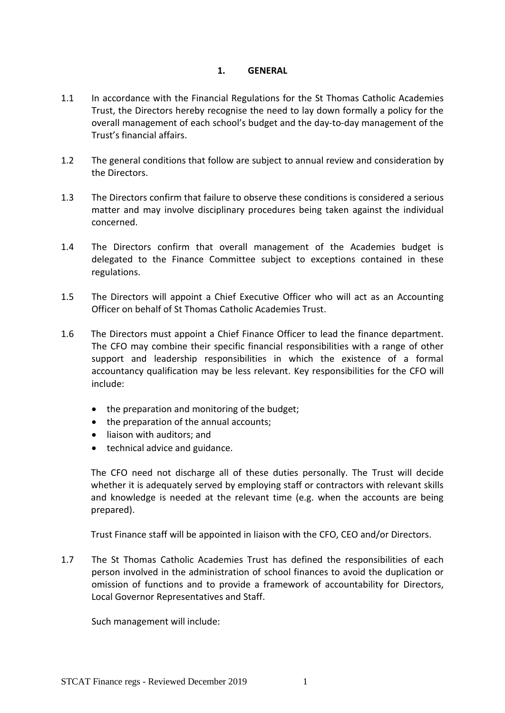#### **1. GENERAL**

- <span id="page-2-0"></span>1.1 In accordance with the Financial Regulations for the St Thomas Catholic Academies Trust, the Directors hereby recognise the need to lay down formally a policy for the overall management of each school's budget and the day-to-day management of the Trust's financial affairs.
- 1.2 The general conditions that follow are subject to annual review and consideration by the Directors.
- 1.3 The Directors confirm that failure to observe these conditions is considered a serious matter and may involve disciplinary procedures being taken against the individual concerned.
- 1.4 The Directors confirm that overall management of the Academies budget is delegated to the Finance Committee subject to exceptions contained in these regulations.
- 1.5 The Directors will appoint a Chief Executive Officer who will act as an Accounting Officer on behalf of St Thomas Catholic Academies Trust.
- 1.6 The Directors must appoint a Chief Finance Officer to lead the finance department. The CFO may combine their specific financial responsibilities with a range of other support and leadership responsibilities in which the existence of a formal accountancy qualification may be less relevant. Key responsibilities for the CFO will include:
	- the preparation and monitoring of the budget;
	- the preparation of the annual accounts;
	- liaison with auditors; and
	- technical advice and guidance.

The CFO need not discharge all of these duties personally. The Trust will decide whether it is adequately served by employing staff or contractors with relevant skills and knowledge is needed at the relevant time (e.g. when the accounts are being prepared).

Trust Finance staff will be appointed in liaison with the CFO, CEO and/or Directors.

1.7 The St Thomas Catholic Academies Trust has defined the responsibilities of each person involved in the administration of school finances to avoid the duplication or omission of functions and to provide a framework of accountability for Directors, Local Governor Representatives and Staff.

Such management will include: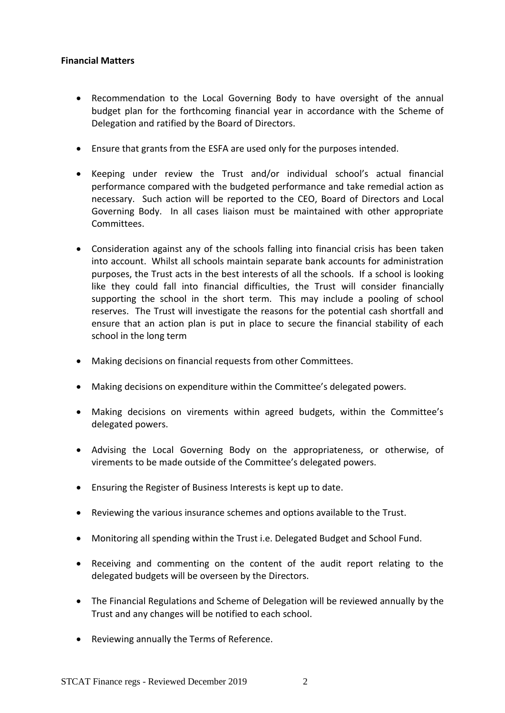#### **Financial Matters**

- Recommendation to the Local Governing Body to have oversight of the annual budget plan for the forthcoming financial year in accordance with the Scheme of Delegation and ratified by the Board of Directors.
- Ensure that grants from the ESFA are used only for the purposes intended.
- Keeping under review the Trust and/or individual school's actual financial performance compared with the budgeted performance and take remedial action as necessary. Such action will be reported to the CEO, Board of Directors and Local Governing Body. In all cases liaison must be maintained with other appropriate Committees.
- Consideration against any of the schools falling into financial crisis has been taken into account. Whilst all schools maintain separate bank accounts for administration purposes, the Trust acts in the best interests of all the schools. If a school is looking like they could fall into financial difficulties, the Trust will consider financially supporting the school in the short term. This may include a pooling of school reserves. The Trust will investigate the reasons for the potential cash shortfall and ensure that an action plan is put in place to secure the financial stability of each school in the long term
- Making decisions on financial requests from other Committees.
- Making decisions on expenditure within the Committee's delegated powers.
- Making decisions on virements within agreed budgets, within the Committee's delegated powers.
- Advising the Local Governing Body on the appropriateness, or otherwise, of virements to be made outside of the Committee's delegated powers.
- Ensuring the Register of Business Interests is kept up to date.
- Reviewing the various insurance schemes and options available to the Trust.
- Monitoring all spending within the Trust i.e. Delegated Budget and School Fund.
- Receiving and commenting on the content of the audit report relating to the delegated budgets will be overseen by the Directors.
- The Financial Regulations and Scheme of Delegation will be reviewed annually by the Trust and any changes will be notified to each school.
- Reviewing annually the Terms of Reference.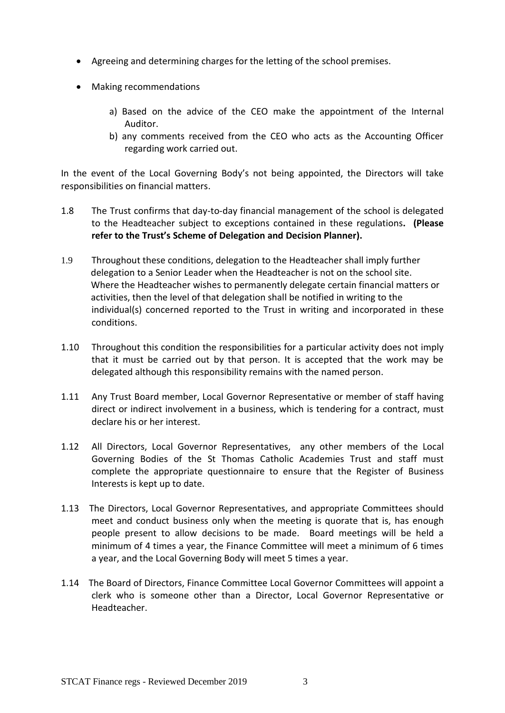- Agreeing and determining charges for the letting of the school premises.
- Making recommendations
	- a) Based on the advice of the CEO make the appointment of the Internal Auditor.
	- b) any comments received from the CEO who acts as the Accounting Officer regarding work carried out.

In the event of the Local Governing Body's not being appointed, the Directors will take responsibilities on financial matters.

- 1.8 The Trust confirms that day-to-day financial management of the school is delegated to the Headteacher subject to exceptions contained in these regulations**. (Please refer to the Trust's Scheme of Delegation and Decision Planner).**
- 1.9 Throughout these conditions, delegation to the Headteacher shall imply further delegation to a Senior Leader when the Headteacher is not on the school site. Where the Headteacher wishes to permanently delegate certain financial matters or activities, then the level of that delegation shall be notified in writing to the individual(s) concerned reported to the Trust in writing and incorporated in these conditions.
- 1.10 Throughout this condition the responsibilities for a particular activity does not imply that it must be carried out by that person. It is accepted that the work may be delegated although this responsibility remains with the named person.
- 1.11 Any Trust Board member, Local Governor Representative or member of staff having direct or indirect involvement in a business, which is tendering for a contract, must declare his or her interest.
- 1.12 All Directors, Local Governor Representatives, any other members of the Local Governing Bodies of the St Thomas Catholic Academies Trust and staff must complete the appropriate questionnaire to ensure that the Register of Business Interests is kept up to date.
- 1.13 The Directors, Local Governor Representatives, and appropriate Committees should meet and conduct business only when the meeting is quorate that is, has enough people present to allow decisions to be made. Board meetings will be held a minimum of 4 times a year, the Finance Committee will meet a minimum of 6 times a year, and the Local Governing Body will meet 5 times a year.
- <span id="page-4-0"></span>1.14 The Board of Directors, Finance Committee Local Governor Committees will appoint a clerk who is someone other than a Director, Local Governor Representative or Headteacher.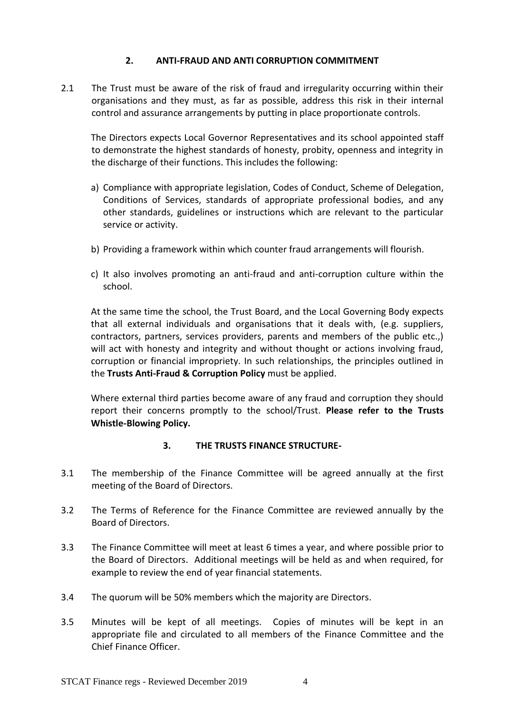### **2. ANTI-FRAUD AND ANTI CORRUPTION COMMITMENT**

2.1 The Trust must be aware of the risk of fraud and irregularity occurring within their organisations and they must, as far as possible, address this risk in their internal control and assurance arrangements by putting in place proportionate controls.

 The Directors expects Local Governor Representatives and its school appointed staff to demonstrate the highest standards of honesty, probity, openness and integrity in the discharge of their functions. This includes the following:

- a) Compliance with appropriate legislation, Codes of Conduct, Scheme of Delegation, Conditions of Services, standards of appropriate professional bodies, and any other standards, guidelines or instructions which are relevant to the particular service or activity.
- b) Providing a framework within which counter fraud arrangements will flourish.
- c) It also involves promoting an anti-fraud and anti-corruption culture within the school.

At the same time the school, the Trust Board, and the Local Governing Body expects that all external individuals and organisations that it deals with, (e.g. suppliers, contractors, partners, services providers, parents and members of the public etc.,) will act with honesty and integrity and without thought or actions involving fraud, corruption or financial impropriety. In such relationships, the principles outlined in the **Trusts Anti-Fraud & Corruption Policy** must be applied.

Where external third parties become aware of any fraud and corruption they should report their concerns promptly to the school/Trust. **Please refer to the Trusts Whistle-Blowing Policy.**

#### **3. THE TRUSTS FINANCE STRUCTURE-**

- <span id="page-5-0"></span>3.1 The membership of the Finance Committee will be agreed annually at the first meeting of the Board of Directors.
- 3.2 The Terms of Reference for the Finance Committee are reviewed annually by the Board of Directors.
- 3.3 The Finance Committee will meet at least 6 times a year, and where possible prior to the Board of Directors. Additional meetings will be held as and when required, for example to review the end of year financial statements.
- 3.4 The quorum will be 50% members which the majority are Directors.
- 3.5 Minutes will be kept of all meetings. Copies of minutes will be kept in an appropriate file and circulated to all members of the Finance Committee and the Chief Finance Officer.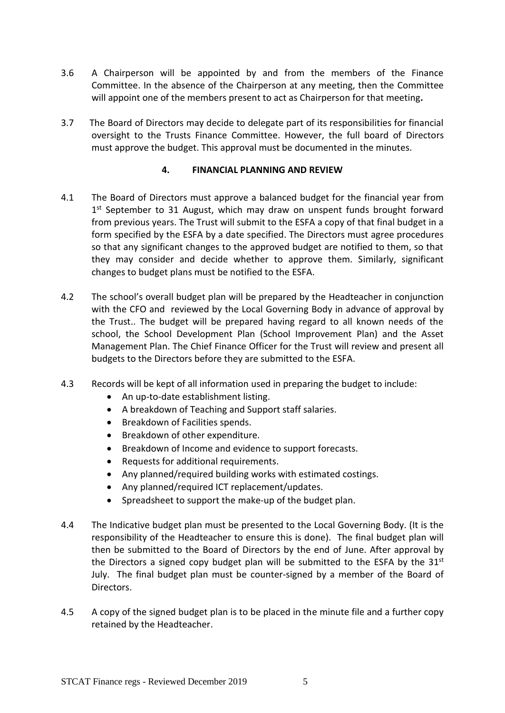- 3.6 A Chairperson will be appointed by and from the members of the Finance Committee. In the absence of the Chairperson at any meeting, then the Committee will appoint one of the members present to act as Chairperson for that meeting**.**
- <span id="page-6-0"></span>3.7 The Board of Directors may decide to delegate part of its responsibilities for financial oversight to the Trusts Finance Committee. However, the full board of Directors must approve the budget. This approval must be documented in the minutes.

#### **4. FINANCIAL PLANNING AND REVIEW**

- 4.1 The Board of Directors must approve a balanced budget for the financial year from 1<sup>st</sup> September to 31 August, which may draw on unspent funds brought forward from previous years. The Trust will submit to the ESFA a copy of that final budget in a form specified by the ESFA by a date specified. The Directors must agree procedures so that any significant changes to the approved budget are notified to them, so that they may consider and decide whether to approve them. Similarly, significant changes to budget plans must be notified to the ESFA.
- 4.2 The school's overall budget plan will be prepared by the Headteacher in conjunction with the CFO and reviewed by the Local Governing Body in advance of approval by the Trust.. The budget will be prepared having regard to all known needs of the school, the School Development Plan (School Improvement Plan) and the Asset Management Plan. The Chief Finance Officer for the Trust will review and present all budgets to the Directors before they are submitted to the ESFA.
- 4.3 Records will be kept of all information used in preparing the budget to include:
	- An up-to-date establishment listing.
	- A breakdown of Teaching and Support staff salaries.
	- Breakdown of Facilities spends.
	- Breakdown of other expenditure.
	- Breakdown of Income and evidence to support forecasts.
	- Requests for additional requirements.
	- Any planned/required building works with estimated costings.
	- Any planned/required ICT replacement/updates.
	- Spreadsheet to support the make-up of the budget plan.
- 4.4 The Indicative budget plan must be presented to the Local Governing Body. (It is the responsibility of the Headteacher to ensure this is done). The final budget plan will then be submitted to the Board of Directors by the end of June. After approval by the Directors a signed copy budget plan will be submitted to the ESFA by the  $31<sup>st</sup>$ July. The final budget plan must be counter-signed by a member of the Board of Directors.
- 4.5 A copy of the signed budget plan is to be placed in the minute file and a further copy retained by the Headteacher.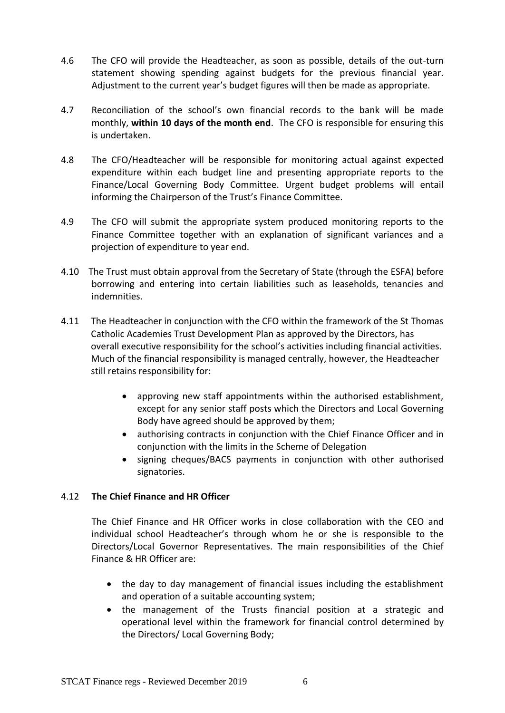- 4.6 The CFO will provide the Headteacher, as soon as possible, details of the out-turn statement showing spending against budgets for the previous financial year. Adjustment to the current year's budget figures will then be made as appropriate.
- 4.7 Reconciliation of the school's own financial records to the bank will be made monthly, **within 10 days of the month end**. The CFO is responsible for ensuring this is undertaken.
- 4.8 The CFO/Headteacher will be responsible for monitoring actual against expected expenditure within each budget line and presenting appropriate reports to the Finance/Local Governing Body Committee. Urgent budget problems will entail informing the Chairperson of the Trust's Finance Committee.
- 4.9 The CFO will submit the appropriate system produced monitoring reports to the Finance Committee together with an explanation of significant variances and a projection of expenditure to year end.
- 4.10 The Trust must obtain approval from the Secretary of State (through the ESFA) before borrowing and entering into certain liabilities such as leaseholds, tenancies and indemnities.
- 4.11 The Headteacher in conjunction with the CFO within the framework of the St Thomas Catholic Academies Trust Development Plan as approved by the Directors, has overall executive responsibility for the school's activities including financial activities. Much of the financial responsibility is managed centrally, however, the Headteacher still retains responsibility for:
	- approving new staff appointments within the authorised establishment, except for any senior staff posts which the Directors and Local Governing Body have agreed should be approved by them;
	- authorising contracts in conjunction with the Chief Finance Officer and in conjunction with the limits in the Scheme of Delegation
	- signing cheques/BACS payments in conjunction with other authorised signatories.

### 4.12 **The Chief Finance and HR Officer**

The Chief Finance and HR Officer works in close collaboration with the CEO and individual school Headteacher's through whom he or she is responsible to the Directors/Local Governor Representatives. The main responsibilities of the Chief Finance & HR Officer are:

- the day to day management of financial issues including the establishment and operation of a suitable accounting system;
- the management of the Trusts financial position at a strategic and operational level within the framework for financial control determined by the Directors/ Local Governing Body;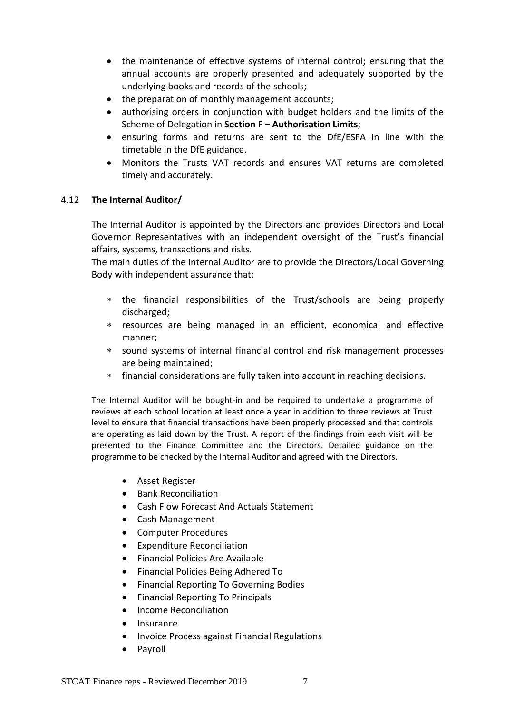- the maintenance of effective systems of internal control; ensuring that the annual accounts are properly presented and adequately supported by the underlying books and records of the schools;
- the preparation of monthly management accounts;
- authorising orders in conjunction with budget holders and the limits of the Scheme of Delegation in **Section F – Authorisation Limits**;
- ensuring forms and returns are sent to the DfE/ESFA in line with the timetable in the DfE guidance.
- Monitors the Trusts VAT records and ensures VAT returns are completed timely and accurately.

#### 4.12 **The Internal Auditor/**

The Internal Auditor is appointed by the Directors and provides Directors and Local Governor Representatives with an independent oversight of the Trust's financial affairs, systems, transactions and risks.

The main duties of the Internal Auditor are to provide the Directors/Local Governing Body with independent assurance that:

- the financial responsibilities of the Trust/schools are being properly discharged;
- resources are being managed in an efficient, economical and effective manner;
- sound systems of internal financial control and risk management processes are being maintained;
- financial considerations are fully taken into account in reaching decisions.

The Internal Auditor will be bought-in and be required to undertake a programme of reviews at each school location at least once a year in addition to three reviews at Trust level to ensure that financial transactions have been properly processed and that controls are operating as laid down by the Trust. A report of the findings from each visit will be presented to the Finance Committee and the Directors. Detailed guidance on the programme to be checked by the Internal Auditor and agreed with the Directors.

- Asset Register
- Bank Reconciliation
- Cash Flow Forecast And Actuals Statement
- Cash Management
- Computer Procedures
- Expenditure Reconciliation
- Financial Policies Are Available
- Financial Policies Being Adhered To
- Financial Reporting To Governing Bodies
- Financial Reporting To Principals
- Income Reconciliation
- Insurance
- Invoice Process against Financial Regulations
- Payroll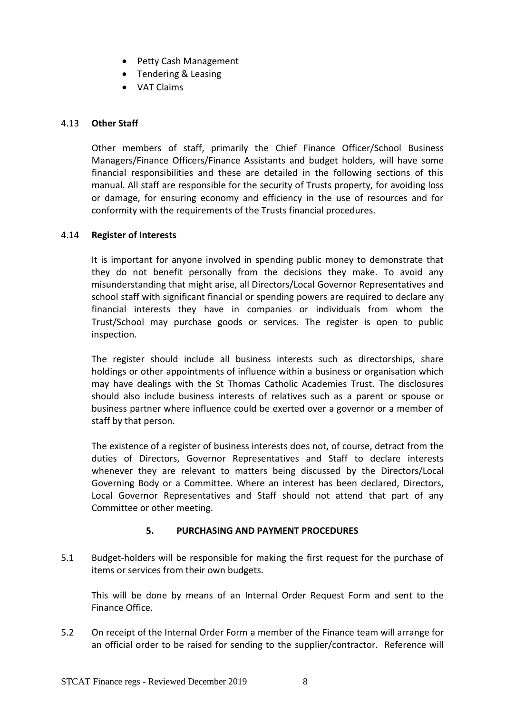- Petty Cash Management
- Tendering & Leasing
- VAT Claims

### 4.13 **Other Staff**

Other members of staff, primarily the Chief Finance Officer/School Business Managers/Finance Officers/Finance Assistants and budget holders, will have some financial responsibilities and these are detailed in the following sections of this manual. All staff are responsible for the security of Trusts property, for avoiding loss or damage, for ensuring economy and efficiency in the use of resources and for conformity with the requirements of the Trusts financial procedures.

#### 4.14 **Register of Interests**

It is important for anyone involved in spending public money to demonstrate that they do not benefit personally from the decisions they make. To avoid any misunderstanding that might arise, all Directors/Local Governor Representatives and school staff with significant financial or spending powers are required to declare any financial interests they have in companies or individuals from whom the Trust/School may purchase goods or services. The register is open to public inspection.

The register should include all business interests such as directorships, share holdings or other appointments of influence within a business or organisation which may have dealings with the St Thomas Catholic Academies Trust. The disclosures should also include business interests of relatives such as a parent or spouse or business partner where influence could be exerted over a governor or a member of staff by that person.

The existence of a register of business interests does not, of course, detract from the duties of Directors, Governor Representatives and Staff to declare interests whenever they are relevant to matters being discussed by the Directors/Local Governing Body or a Committee. Where an interest has been declared, Directors, Local Governor Representatives and Staff should not attend that part of any Committee or other meeting.

### **5. PURCHASING AND PAYMENT PROCEDURES**

<span id="page-9-0"></span>5.1 Budget-holders will be responsible for making the first request for the purchase of items or services from their own budgets.

This will be done by means of an Internal Order Request Form and sent to the Finance Office.

5.2 On receipt of the Internal Order Form a member of the Finance team will arrange for an official order to be raised for sending to the supplier/contractor. Reference will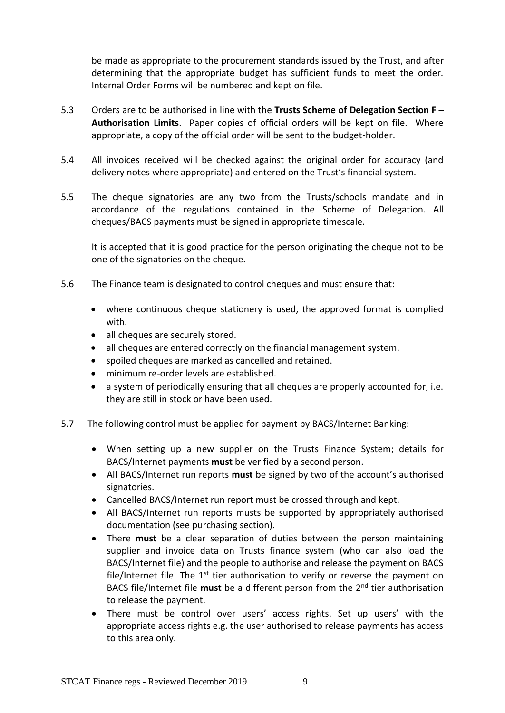be made as appropriate to the procurement standards issued by the Trust, and after determining that the appropriate budget has sufficient funds to meet the order. Internal Order Forms will be numbered and kept on file.

- 5.3 Orders are to be authorised in line with the **Trusts Scheme of Delegation Section F – Authorisation Limits**. Paper copies of official orders will be kept on file. Where appropriate, a copy of the official order will be sent to the budget-holder.
- 5.4 All invoices received will be checked against the original order for accuracy (and delivery notes where appropriate) and entered on the Trust's financial system.
- 5.5 The cheque signatories are any two from the Trusts/schools mandate and in accordance of the regulations contained in the Scheme of Delegation. All cheques/BACS payments must be signed in appropriate timescale.

It is accepted that it is good practice for the person originating the cheque not to be one of the signatories on the cheque.

- 5.6 The Finance team is designated to control cheques and must ensure that:
	- where continuous cheque stationery is used, the approved format is complied with.
	- all cheques are securely stored.
	- all cheques are entered correctly on the financial management system.
	- spoiled cheques are marked as cancelled and retained.
	- minimum re-order levels are established.
	- a system of periodically ensuring that all cheques are properly accounted for, i.e. they are still in stock or have been used.
- 5.7 The following control must be applied for payment by BACS/Internet Banking:
	- When setting up a new supplier on the Trusts Finance System; details for BACS/Internet payments **must** be verified by a second person.
	- All BACS/Internet run reports **must** be signed by two of the account's authorised signatories.
	- Cancelled BACS/Internet run report must be crossed through and kept.
	- All BACS/Internet run reports musts be supported by appropriately authorised documentation (see purchasing section).
	- There **must** be a clear separation of duties between the person maintaining supplier and invoice data on Trusts finance system (who can also load the BACS/Internet file) and the people to authorise and release the payment on BACS file/Internet file. The  $1<sup>st</sup>$  tier authorisation to verify or reverse the payment on BACS file/Internet file **must** be a different person from the 2nd tier authorisation to release the payment.
	- There must be control over users' access rights. Set up users' with the appropriate access rights e.g. the user authorised to release payments has access to this area only.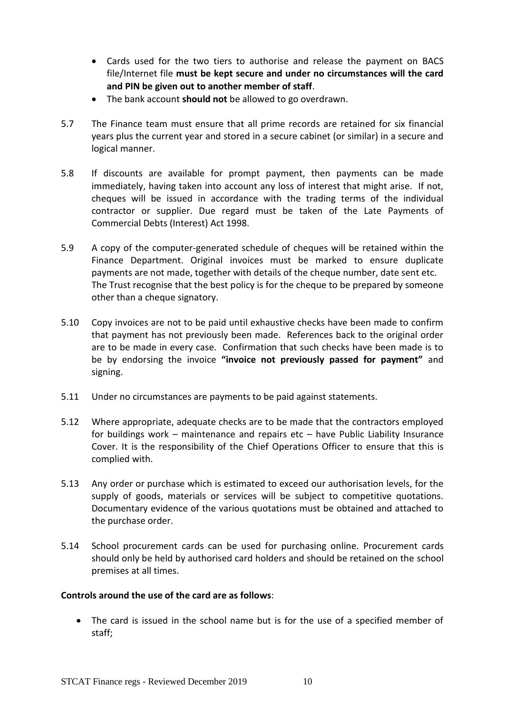- Cards used for the two tiers to authorise and release the payment on BACS file/Internet file **must be kept secure and under no circumstances will the card and PIN be given out to another member of staff**.
- The bank account **should not** be allowed to go overdrawn.
- 5.7 The Finance team must ensure that all prime records are retained for six financial years plus the current year and stored in a secure cabinet (or similar) in a secure and logical manner.
- 5.8 If discounts are available for prompt payment, then payments can be made immediately, having taken into account any loss of interest that might arise. If not, cheques will be issued in accordance with the trading terms of the individual contractor or supplier. Due regard must be taken of the Late Payments of Commercial Debts (Interest) Act 1998.
- 5.9 A copy of the computer-generated schedule of cheques will be retained within the Finance Department. Original invoices must be marked to ensure duplicate payments are not made, together with details of the cheque number, date sent etc. The Trust recognise that the best policy is for the cheque to be prepared by someone other than a cheque signatory.
- 5.10 Copy invoices are not to be paid until exhaustive checks have been made to confirm that payment has not previously been made. References back to the original order are to be made in every case. Confirmation that such checks have been made is to be by endorsing the invoice **"invoice not previously passed for payment"** and signing.
- 5.11 Under no circumstances are payments to be paid against statements.
- 5.12 Where appropriate, adequate checks are to be made that the contractors employed for buildings work – maintenance and repairs etc – have Public Liability Insurance Cover. It is the responsibility of the Chief Operations Officer to ensure that this is complied with.
- 5.13 Any order or purchase which is estimated to exceed our authorisation levels, for the supply of goods, materials or services will be subject to competitive quotations. Documentary evidence of the various quotations must be obtained and attached to the purchase order.
- 5.14 School procurement cards can be used for purchasing online. Procurement cards should only be held by authorised card holders and should be retained on the school premises at all times.

#### **Controls around the use of the card are as follows**:

• The card is issued in the school name but is for the use of a specified member of staff;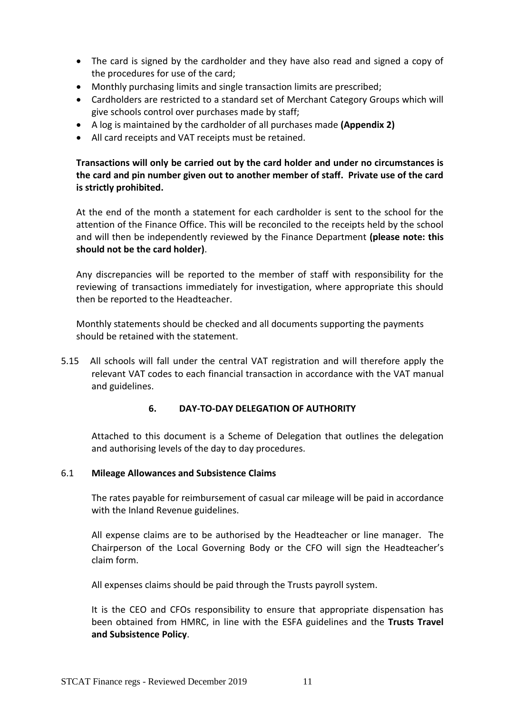- The card is signed by the cardholder and they have also read and signed a copy of the procedures for use of the card;
- Monthly purchasing limits and single transaction limits are prescribed;
- Cardholders are restricted to a standard set of Merchant Category Groups which will give schools control over purchases made by staff;
- A log is maintained by the cardholder of all purchases made **(Appendix 2)**
- All card receipts and VAT receipts must be retained.

### **Transactions will only be carried out by the card holder and under no circumstances is the card and pin number given out to another member of staff. Private use of the card is strictly prohibited.**

At the end of the month a statement for each cardholder is sent to the school for the attention of the Finance Office. This will be reconciled to the receipts held by the school and will then be independently reviewed by the Finance Department **(please note: this should not be the card holder)**.

Any discrepancies will be reported to the member of staff with responsibility for the reviewing of transactions immediately for investigation, where appropriate this should then be reported to the Headteacher.

Monthly statements should be checked and all documents supporting the payments should be retained with the statement.

<span id="page-12-0"></span>5.15 All schools will fall under the central VAT registration and will therefore apply the relevant VAT codes to each financial transaction in accordance with the VAT manual and guidelines.

#### **6. DAY-TO-DAY DELEGATION OF AUTHORITY**

Attached to this document is a Scheme of Delegation that outlines the delegation and authorising levels of the day to day procedures.

#### 6.1 **Mileage Allowances and Subsistence Claims**

The rates payable for reimbursement of casual car mileage will be paid in accordance with the Inland Revenue guidelines.

All expense claims are to be authorised by the Headteacher or line manager. The Chairperson of the Local Governing Body or the CFO will sign the Headteacher's claim form.

All expenses claims should be paid through the Trusts payroll system.

It is the CEO and CFOs responsibility to ensure that appropriate dispensation has been obtained from HMRC, in line with the ESFA guidelines and the **Trusts Travel and Subsistence Policy**.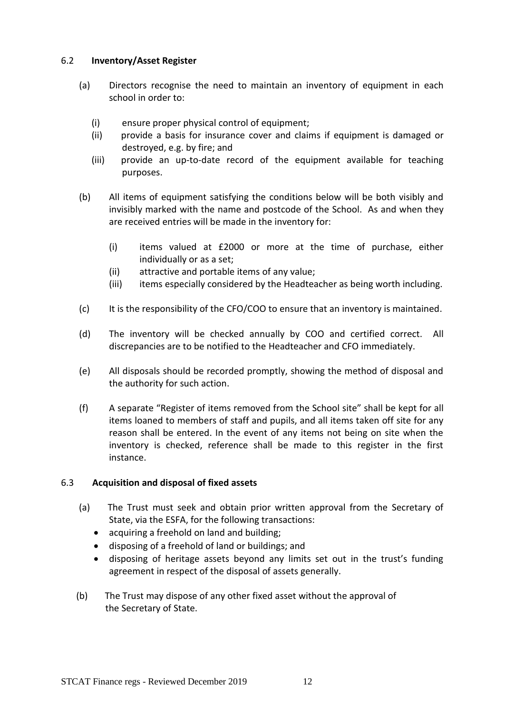#### 6.2 **Inventory/Asset Register**

- (a) Directors recognise the need to maintain an inventory of equipment in each school in order to:
	- (i) ensure proper physical control of equipment;
	- (ii) provide a basis for insurance cover and claims if equipment is damaged or destroyed, e.g. by fire; and
	- (iii) provide an up-to-date record of the equipment available for teaching purposes.
- (b) All items of equipment satisfying the conditions below will be both visibly and invisibly marked with the name and postcode of the School. As and when they are received entries will be made in the inventory for:
	- (i) items valued at £2000 or more at the time of purchase, either individually or as a set;
	- (ii) attractive and portable items of any value;
	- (iii) items especially considered by the Headteacher as being worth including.
- (c) It is the responsibility of the CFO/COO to ensure that an inventory is maintained.
- (d) The inventory will be checked annually by COO and certified correct. All discrepancies are to be notified to the Headteacher and CFO immediately.
- (e) All disposals should be recorded promptly, showing the method of disposal and the authority for such action.
- (f) A separate "Register of items removed from the School site" shall be kept for all items loaned to members of staff and pupils, and all items taken off site for any reason shall be entered. In the event of any items not being on site when the inventory is checked, reference shall be made to this register in the first instance.

### 6.3 **Acquisition and disposal of fixed assets**

- (a) The Trust must seek and obtain prior written approval from the Secretary of State, via the ESFA, for the following transactions:
	- acquiring a freehold on land and building;
	- disposing of a freehold of land or buildings; and
	- disposing of heritage assets beyond any limits set out in the trust's funding agreement in respect of the disposal of assets generally.
- (b) The Trust may dispose of any other fixed asset without the approval of the Secretary of State.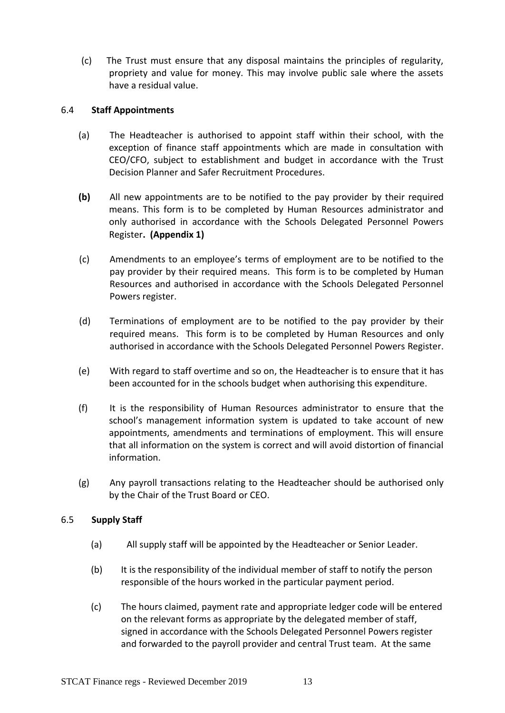(c) The Trust must ensure that any disposal maintains the principles of regularity, propriety and value for money. This may involve public sale where the assets have a residual value.

#### 6.4 **Staff Appointments**

- (a) The Headteacher is authorised to appoint staff within their school, with the exception of finance staff appointments which are made in consultation with CEO/CFO, subject to establishment and budget in accordance with the Trust Decision Planner and Safer Recruitment Procedures.
- **(b)** All new appointments are to be notified to the pay provider by their required means. This form is to be completed by Human Resources administrator and only authorised in accordance with the Schools Delegated Personnel Powers Register**. (Appendix 1)**
- (c) Amendments to an employee's terms of employment are to be notified to the pay provider by their required means. This form is to be completed by Human Resources and authorised in accordance with the Schools Delegated Personnel Powers register.
- (d) Terminations of employment are to be notified to the pay provider by their required means. This form is to be completed by Human Resources and only authorised in accordance with the Schools Delegated Personnel Powers Register.
- (e) With regard to staff overtime and so on, the Headteacher is to ensure that it has been accounted for in the schools budget when authorising this expenditure.
- (f) It is the responsibility of Human Resources administrator to ensure that the school's management information system is updated to take account of new appointments, amendments and terminations of employment. This will ensure that all information on the system is correct and will avoid distortion of financial information.
- (g) Any payroll transactions relating to the Headteacher should be authorised only by the Chair of the Trust Board or CEO.

### 6.5 **Supply Staff**

- (a) All supply staff will be appointed by the Headteacher or Senior Leader.
- (b) It is the responsibility of the individual member of staff to notify the person responsible of the hours worked in the particular payment period.
- (c) The hours claimed, payment rate and appropriate ledger code will be entered on the relevant forms as appropriate by the delegated member of staff, signed in accordance with the Schools Delegated Personnel Powers register and forwarded to the payroll provider and central Trust team. At the same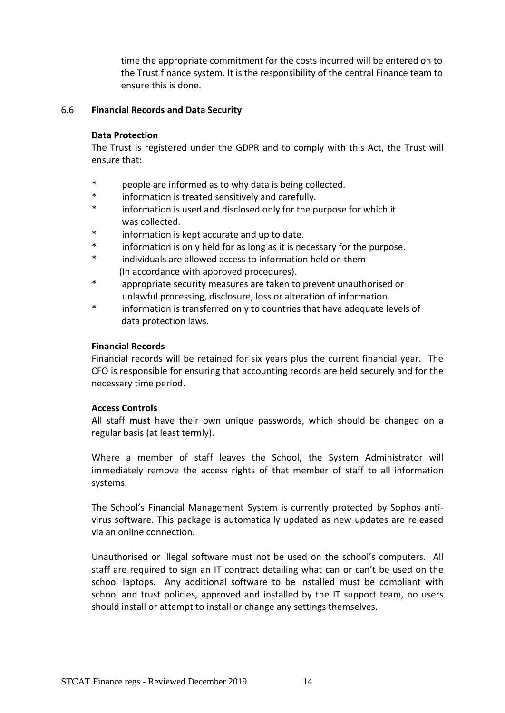time the appropriate commitment for the costs incurred will be entered on to the Trust finance system. It is the responsibility of the central Finance team to ensure this is done.

#### 6.6 **Financial Records and Data Security**

#### **Data Protection**

The Trust is registered under the GDPR and to comply with this Act, the Trust will ensure that:

- people are informed as to why data is being collected.
- \* information is treated sensitively and carefully.
- information is used and disclosed only for the purpose for which it was collected.
- information is kept accurate and up to date.
- information is only held for as long as it is necessary for the purpose.
- individuals are allowed access to information held on them (In accordance with approved procedures).
- \* appropriate security measures are taken to prevent unauthorised or unlawful processing, disclosure, loss or alteration of information.
- \* information is transferred only to countries that have adequate levels of data protection laws.

#### **Financial Records**

Financial records will be retained for six years plus the current financial year. The CFO is responsible for ensuring that accounting records are held securely and for the necessary time period.

#### **Access Controls**

All staff **must** have their own unique passwords, which should be changed on a regular basis (at least termly).

Where a member of staff leaves the School, the System Administrator will immediately remove the access rights of that member of staff to all information systems.

The School's Financial Management System is currently protected by Sophos antivirus software. This package is automatically updated as new updates are released via an online connection.

Unauthorised or illegal software must not be used on the school's computers. All staff are required to sign an IT contract detailing what can or can't be used on the school laptops. Any additional software to be installed must be compliant with school and trust policies, approved and installed by the IT support team, no users should install or attempt to install or change any settings themselves.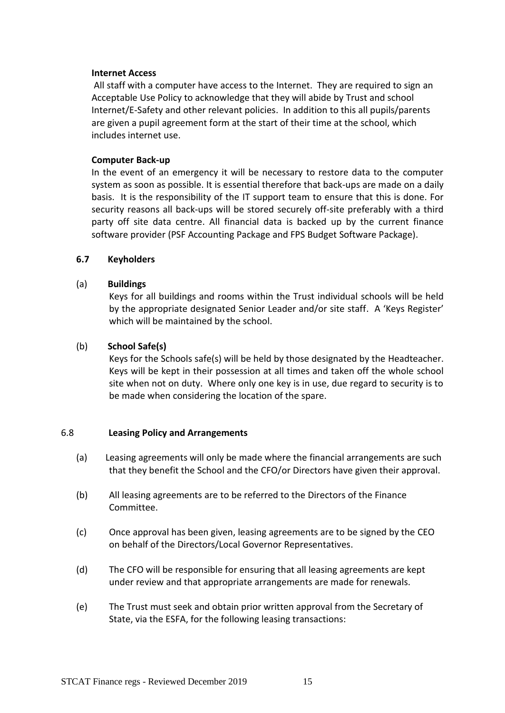#### **Internet Access**

All staff with a computer have access to the Internet. They are required to sign an Acceptable Use Policy to acknowledge that they will abide by Trust and school Internet/E-Safety and other relevant policies. In addition to this all pupils/parents are given a pupil agreement form at the start of their time at the school, which includes internet use.

#### **Computer Back-up**

In the event of an emergency it will be necessary to restore data to the computer system as soon as possible. It is essential therefore that back-ups are made on a daily basis. It is the responsibility of the IT support team to ensure that this is done. For security reasons all back-ups will be stored securely off-site preferably with a third party off site data centre. All financial data is backed up by the current finance software provider (PSF Accounting Package and FPS Budget Software Package).

#### **6.7 Keyholders**

#### (a) **Buildings**

Keys for all buildings and rooms within the Trust individual schools will be held by the appropriate designated Senior Leader and/or site staff. A 'Keys Register' which will be maintained by the school.

#### (b) **School Safe(s)**

Keys for the Schools safe(s) will be held by those designated by the Headteacher. Keys will be kept in their possession at all times and taken off the whole school site when not on duty. Where only one key is in use, due regard to security is to be made when considering the location of the spare.

#### 6.8 **Leasing Policy and Arrangements**

- (a) Leasing agreements will only be made where the financial arrangements are such that they benefit the School and the CFO/or Directors have given their approval.
- (b) All leasing agreements are to be referred to the Directors of the Finance Committee.
- (c) Once approval has been given, leasing agreements are to be signed by the CEO on behalf of the Directors/Local Governor Representatives.
- (d) The CFO will be responsible for ensuring that all leasing agreements are kept under review and that appropriate arrangements are made for renewals.
- (e) The Trust must seek and obtain prior written approval from the Secretary of State, via the ESFA, for the following leasing transactions: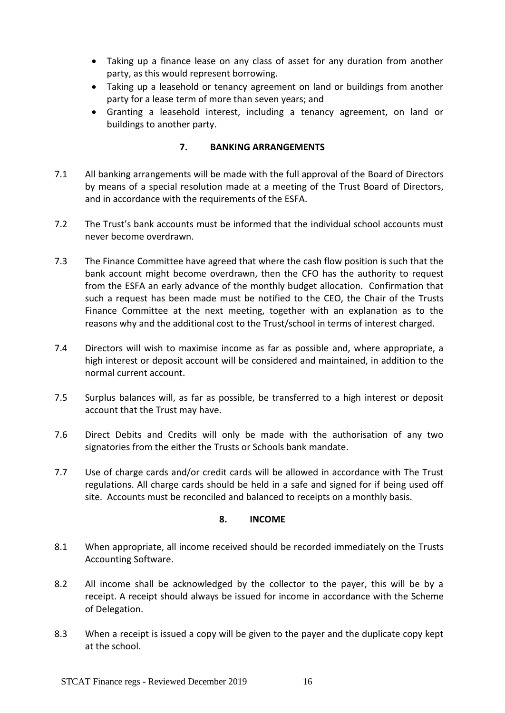- Taking up a finance lease on any class of asset for any duration from another party, as this would represent borrowing.
- Taking up a leasehold or tenancy agreement on land or buildings from another party for a lease term of more than seven years; and
- Granting a leasehold interest, including a tenancy agreement, on land or buildings to another party.

#### **7. BANKING ARRANGEMENTS**

- <span id="page-17-0"></span>7.1 All banking arrangements will be made with the full approval of the Board of Directors by means of a special resolution made at a meeting of the Trust Board of Directors, and in accordance with the requirements of the ESFA.
- 7.2 The Trust's bank accounts must be informed that the individual school accounts must never become overdrawn.
- 7.3 The Finance Committee have agreed that where the cash flow position is such that the bank account might become overdrawn, then the CFO has the authority to request from the ESFA an early advance of the monthly budget allocation. Confirmation that such a request has been made must be notified to the CEO, the Chair of the Trusts Finance Committee at the next meeting, together with an explanation as to the reasons why and the additional cost to the Trust/school in terms of interest charged.
- 7.4 Directors will wish to maximise income as far as possible and, where appropriate, a high interest or deposit account will be considered and maintained, in addition to the normal current account.
- 7.5 Surplus balances will, as far as possible, be transferred to a high interest or deposit account that the Trust may have.
- 7.6 Direct Debits and Credits will only be made with the authorisation of any two signatories from the either the Trusts or Schools bank mandate.
- <span id="page-17-1"></span>7.7 Use of charge cards and/or credit cards will be allowed in accordance with The Trust regulations. All charge cards should be held in a safe and signed for if being used off site. Accounts must be reconciled and balanced to receipts on a monthly basis.

#### **8. INCOME**

- 8.1 When appropriate, all income received should be recorded immediately on the Trusts Accounting Software.
- 8.2 All income shall be acknowledged by the collector to the payer, this will be by a receipt. A receipt should always be issued for income in accordance with the Scheme of Delegation.
- 8.3 When a receipt is issued a copy will be given to the payer and the duplicate copy kept at the school.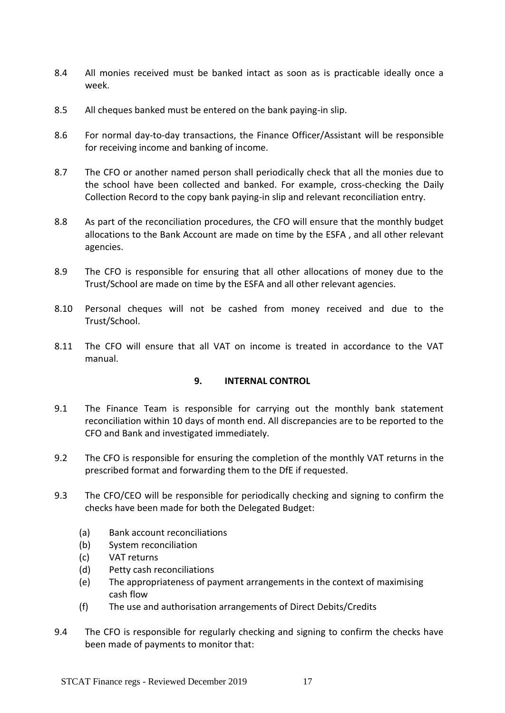- 8.4 All monies received must be banked intact as soon as is practicable ideally once a week.
- 8.5 All cheques banked must be entered on the bank paying-in slip.
- 8.6 For normal day-to-day transactions, the Finance Officer/Assistant will be responsible for receiving income and banking of income.
- 8.7 The CFO or another named person shall periodically check that all the monies due to the school have been collected and banked. For example, cross-checking the Daily Collection Record to the copy bank paying-in slip and relevant reconciliation entry.
- 8.8 As part of the reconciliation procedures, the CFO will ensure that the monthly budget allocations to the Bank Account are made on time by the ESFA , and all other relevant agencies.
- 8.9 The CFO is responsible for ensuring that all other allocations of money due to the Trust/School are made on time by the ESFA and all other relevant agencies.
- 8.10 Personal cheques will not be cashed from money received and due to the Trust/School.
- <span id="page-18-0"></span>8.11 The CFO will ensure that all VAT on income is treated in accordance to the VAT manual.

### **9. INTERNAL CONTROL**

- 9.1 The Finance Team is responsible for carrying out the monthly bank statement reconciliation within 10 days of month end. All discrepancies are to be reported to the CFO and Bank and investigated immediately.
- 9.2 The CFO is responsible for ensuring the completion of the monthly VAT returns in the prescribed format and forwarding them to the DfE if requested.
- 9.3 The CFO/CEO will be responsible for periodically checking and signing to confirm the checks have been made for both the Delegated Budget:
	- (a) Bank account reconciliations
	- (b) System reconciliation
	- (c) VAT returns
	- (d) Petty cash reconciliations
	- (e) The appropriateness of payment arrangements in the context of maximising cash flow
	- (f) The use and authorisation arrangements of Direct Debits/Credits
- 9.4 The CFO is responsible for regularly checking and signing to confirm the checks have been made of payments to monitor that: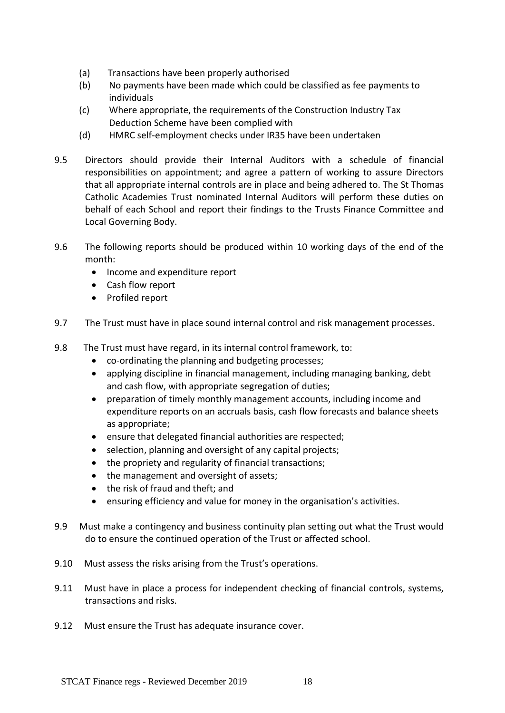- (a) Transactions have been properly authorised
- (b) No payments have been made which could be classified as fee payments to individuals
- (c) Where appropriate, the requirements of the Construction Industry Tax Deduction Scheme have been complied with
- (d) HMRC self-employment checks under IR35 have been undertaken
- 9.5 Directors should provide their Internal Auditors with a schedule of financial responsibilities on appointment; and agree a pattern of working to assure Directors that all appropriate internal controls are in place and being adhered to. The St Thomas Catholic Academies Trust nominated Internal Auditors will perform these duties on behalf of each School and report their findings to the Trusts Finance Committee and Local Governing Body.
- 9.6 The following reports should be produced within 10 working days of the end of the month:
	- Income and expenditure report
	- Cash flow report
	- Profiled report
- 9.7 The Trust must have in place sound internal control and risk management processes.
- 9.8 The Trust must have regard, in its internal control framework, to:
	- co-ordinating the planning and budgeting processes;
	- applying discipline in financial management, including managing banking, debt and cash flow, with appropriate segregation of duties;
	- preparation of timely monthly management accounts, including income and expenditure reports on an accruals basis, cash flow forecasts and balance sheets as appropriate;
	- ensure that delegated financial authorities are respected;
	- selection, planning and oversight of any capital projects;
	- the propriety and regularity of financial transactions;
	- the management and oversight of assets;
	- the risk of fraud and theft; and
	- ensuring efficiency and value for money in the organisation's activities.
- 9.9 Must make a contingency and business continuity plan setting out what the Trust would do to ensure the continued operation of the Trust or affected school.
- 9.10 Must assess the risks arising from the Trust's operations.
- 9.11 Must have in place a process for independent checking of financial controls, systems, transactions and risks.
- 9.12 Must ensure the Trust has adequate insurance cover.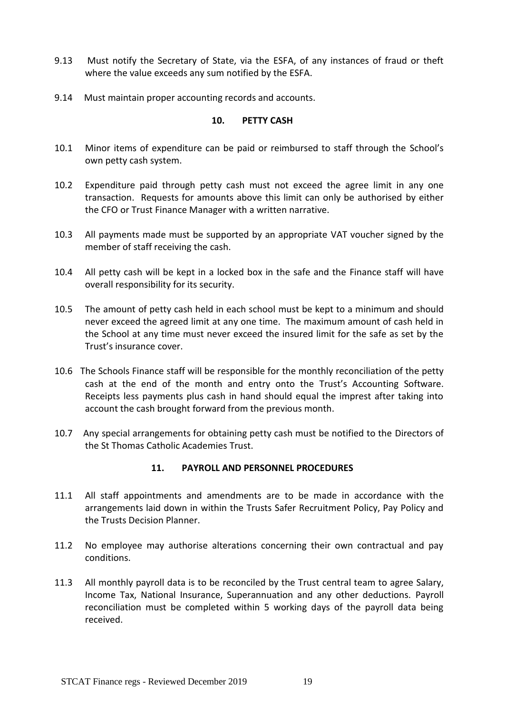- 9.13 Must notify the Secretary of State, via the ESFA, of any instances of fraud or theft where the value exceeds any sum notified by the ESFA.
- <span id="page-20-0"></span>9.14 Must maintain proper accounting records and accounts.

#### **10. PETTY CASH**

- 10.1 Minor items of expenditure can be paid or reimbursed to staff through the School's own petty cash system.
- 10.2 Expenditure paid through petty cash must not exceed the agree limit in any one transaction. Requests for amounts above this limit can only be authorised by either the CFO or Trust Finance Manager with a written narrative.
- 10.3 All payments made must be supported by an appropriate VAT voucher signed by the member of staff receiving the cash.
- 10.4 All petty cash will be kept in a locked box in the safe and the Finance staff will have overall responsibility for its security.
- 10.5 The amount of petty cash held in each school must be kept to a minimum and should never exceed the agreed limit at any one time. The maximum amount of cash held in the School at any time must never exceed the insured limit for the safe as set by the Trust's insurance cover.
- 10.6 The Schools Finance staff will be responsible for the monthly reconciliation of the petty cash at the end of the month and entry onto the Trust's Accounting Software. Receipts less payments plus cash in hand should equal the imprest after taking into account the cash brought forward from the previous month.
- <span id="page-20-1"></span>10.7 Any special arrangements for obtaining petty cash must be notified to the Directors of the St Thomas Catholic Academies Trust.

#### **11. PAYROLL AND PERSONNEL PROCEDURES**

- 11.1 All staff appointments and amendments are to be made in accordance with the arrangements laid down in within the Trusts Safer Recruitment Policy, Pay Policy and the Trusts Decision Planner.
- 11.2 No employee may authorise alterations concerning their own contractual and pay conditions.
- 11.3 All monthly payroll data is to be reconciled by the Trust central team to agree Salary, Income Tax, National Insurance, Superannuation and any other deductions. Payroll reconciliation must be completed within 5 working days of the payroll data being received.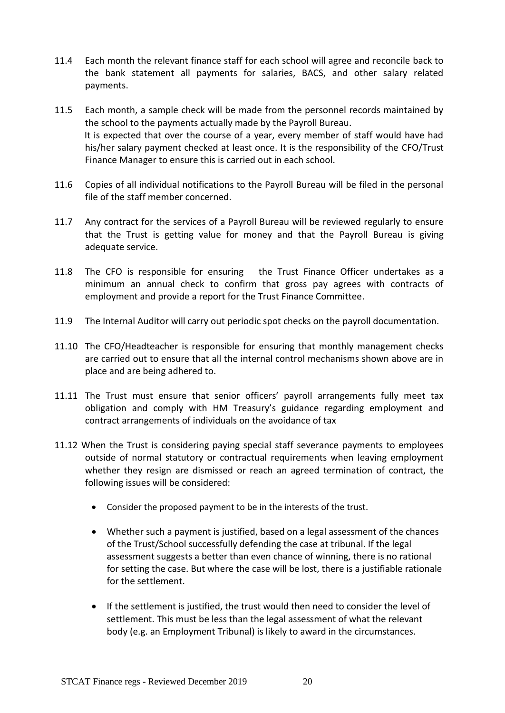- 11.4 Each month the relevant finance staff for each school will agree and reconcile back to the bank statement all payments for salaries, BACS, and other salary related payments.
- 11.5 Each month, a sample check will be made from the personnel records maintained by the school to the payments actually made by the Payroll Bureau. It is expected that over the course of a year, every member of staff would have had his/her salary payment checked at least once. It is the responsibility of the CFO/Trust Finance Manager to ensure this is carried out in each school.
- 11.6 Copies of all individual notifications to the Payroll Bureau will be filed in the personal file of the staff member concerned.
- 11.7 Any contract for the services of a Payroll Bureau will be reviewed regularly to ensure that the Trust is getting value for money and that the Payroll Bureau is giving adequate service.
- 11.8 The CFO is responsible for ensuring the Trust Finance Officer undertakes as a minimum an annual check to confirm that gross pay agrees with contracts of employment and provide a report for the Trust Finance Committee.
- 11.9 The Internal Auditor will carry out periodic spot checks on the payroll documentation.
- 11.10 The CFO/Headteacher is responsible for ensuring that monthly management checks are carried out to ensure that all the internal control mechanisms shown above are in place and are being adhered to.
- 11.11 The Trust must ensure that senior officers' payroll arrangements fully meet tax obligation and comply with HM Treasury's guidance regarding employment and contract arrangements of individuals on the avoidance of tax
- 11.12 When the Trust is considering paying special staff severance payments to employees outside of normal statutory or contractual requirements when leaving employment whether they resign are dismissed or reach an agreed termination of contract, the following issues will be considered:
	- Consider the proposed payment to be in the interests of the trust.
	- Whether such a payment is justified, based on a legal assessment of the chances of the Trust/School successfully defending the case at tribunal. If the legal assessment suggests a better than even chance of winning, there is no rational for setting the case. But where the case will be lost, there is a justifiable rationale for the settlement.
	- If the settlement is justified, the trust would then need to consider the level of settlement. This must be less than the legal assessment of what the relevant body (e.g. an Employment Tribunal) is likely to award in the circumstances.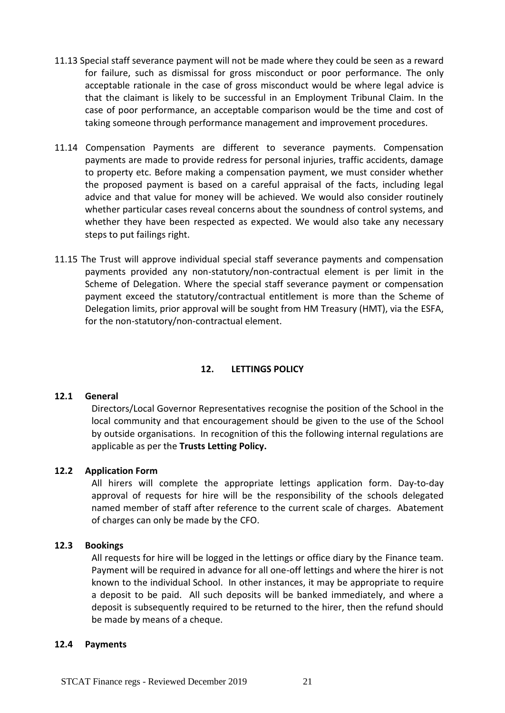- 11.13 Special staff severance payment will not be made where they could be seen as a reward for failure, such as dismissal for gross misconduct or poor performance. The only acceptable rationale in the case of gross misconduct would be where legal advice is that the claimant is likely to be successful in an Employment Tribunal Claim. In the case of poor performance, an acceptable comparison would be the time and cost of taking someone through performance management and improvement procedures.
- 11.14 Compensation Payments are different to severance payments. Compensation payments are made to provide redress for personal injuries, traffic accidents, damage to property etc. Before making a compensation payment, we must consider whether the proposed payment is based on a careful appraisal of the facts, including legal advice and that value for money will be achieved. We would also consider routinely whether particular cases reveal concerns about the soundness of control systems, and whether they have been respected as expected. We would also take any necessary steps to put failings right.
- 11.15 The Trust will approve individual special staff severance payments and compensation payments provided any non-statutory/non-contractual element is per limit in the Scheme of Delegation. Where the special staff severance payment or compensation payment exceed the statutory/contractual entitlement is more than the Scheme of Delegation limits, prior approval will be sought from HM Treasury (HMT), via the ESFA, for the non-statutory/non-contractual element.

#### **12. LETTINGS POLICY**

#### <span id="page-22-0"></span>**12.1 General**

Directors/Local Governor Representatives recognise the position of the School in the local community and that encouragement should be given to the use of the School by outside organisations. In recognition of this the following internal regulations are applicable as per the **Trusts Letting Policy.**

#### **12.2 Application Form**

All hirers will complete the appropriate lettings application form. Day-to-day approval of requests for hire will be the responsibility of the schools delegated named member of staff after reference to the current scale of charges. Abatement of charges can only be made by the CFO.

#### **12.3 Bookings**

All requests for hire will be logged in the lettings or office diary by the Finance team. Payment will be required in advance for all one-off lettings and where the hirer is not known to the individual School. In other instances, it may be appropriate to require a deposit to be paid. All such deposits will be banked immediately, and where a deposit is subsequently required to be returned to the hirer, then the refund should be made by means of a cheque.

#### **12.4 Payments**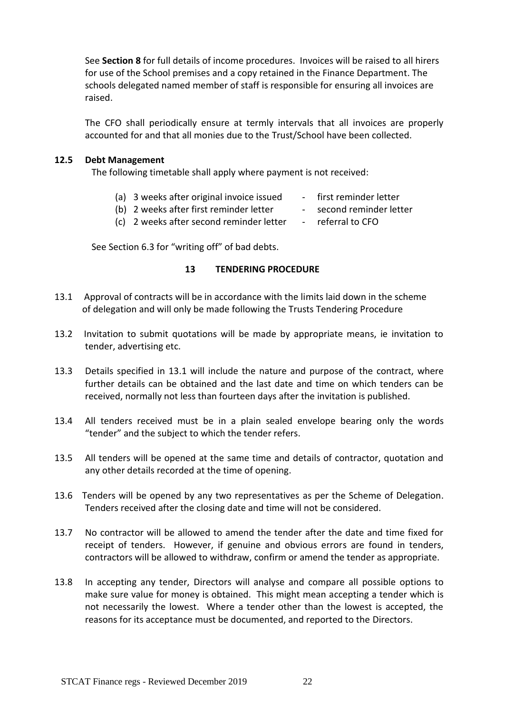See **Section 8** for full details of income procedures. Invoices will be raised to all hirers for use of the School premises and a copy retained in the Finance Department. The schools delegated named member of staff is responsible for ensuring all invoices are raised.

The CFO shall periodically ensure at termly intervals that all invoices are properly accounted for and that all monies due to the Trust/School have been collected.

#### **12.5 Debt Management**

The following timetable shall apply where payment is not received:

- (a) 3 weeks after original invoice issued first reminder letter
- (b) 2 weeks after first reminder letter second reminder letter
- -
- (c) 2 weeks after second reminder letter referral to CFO

<span id="page-23-0"></span>See Section 6.3 for "writing off" of bad debts.

#### **13 TENDERING PROCEDURE**

- 13.1 Approval of contracts will be in accordance with the limits laid down in the scheme of delegation and will only be made following the Trusts Tendering Procedure
- 13.2 Invitation to submit quotations will be made by appropriate means, ie invitation to tender, advertising etc.
- 13.3 Details specified in 13.1 will include the nature and purpose of the contract, where further details can be obtained and the last date and time on which tenders can be received, normally not less than fourteen days after the invitation is published.
- 13.4 All tenders received must be in a plain sealed envelope bearing only the words "tender" and the subject to which the tender refers.
- 13.5 All tenders will be opened at the same time and details of contractor, quotation and any other details recorded at the time of opening.
- 13.6 Tenders will be opened by any two representatives as per the Scheme of Delegation. Tenders received after the closing date and time will not be considered.
- 13.7 No contractor will be allowed to amend the tender after the date and time fixed for receipt of tenders. However, if genuine and obvious errors are found in tenders, contractors will be allowed to withdraw, confirm or amend the tender as appropriate.
- 13.8 In accepting any tender, Directors will analyse and compare all possible options to make sure value for money is obtained. This might mean accepting a tender which is not necessarily the lowest. Where a tender other than the lowest is accepted, the reasons for its acceptance must be documented, and reported to the Directors.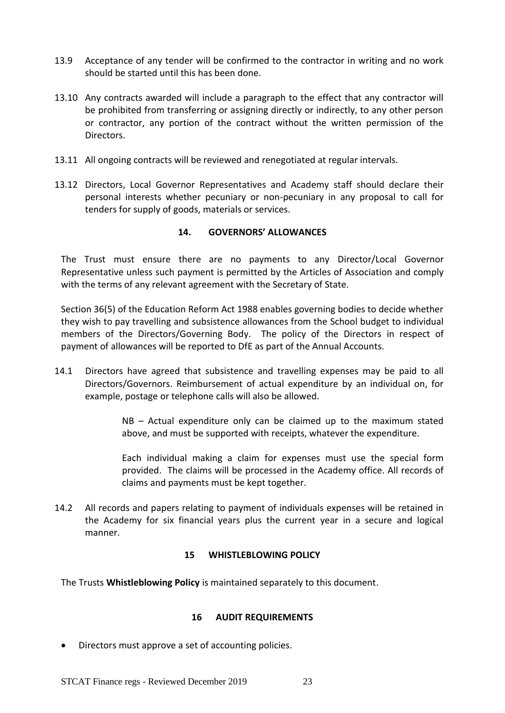- 13.9 Acceptance of any tender will be confirmed to the contractor in writing and no work should be started until this has been done.
- 13.10 Any contracts awarded will include a paragraph to the effect that any contractor will be prohibited from transferring or assigning directly or indirectly, to any other person or contractor, any portion of the contract without the written permission of the Directors.
- 13.11 All ongoing contracts will be reviewed and renegotiated at regular intervals.
- <span id="page-24-0"></span>13.12 Directors, Local Governor Representatives and Academy staff should declare their personal interests whether pecuniary or non-pecuniary in any proposal to call for tenders for supply of goods, materials or services.

#### **14. GOVERNORS' ALLOWANCES**

The Trust must ensure there are no payments to any Director/Local Governor Representative unless such payment is permitted by the Articles of Association and comply with the terms of any relevant agreement with the Secretary of State.

Section 36(5) of the Education Reform Act 1988 enables governing bodies to decide whether they wish to pay travelling and subsistence allowances from the School budget to individual members of the Directors/Governing Body. The policy of the Directors in respect of payment of allowances will be reported to DfE as part of the Annual Accounts.

14.1 Directors have agreed that subsistence and travelling expenses may be paid to all Directors/Governors. Reimbursement of actual expenditure by an individual on, for example, postage or telephone calls will also be allowed.

> NB – Actual expenditure only can be claimed up to the maximum stated above, and must be supported with receipts, whatever the expenditure.

> Each individual making a claim for expenses must use the special form provided. The claims will be processed in the Academy office. All records of claims and payments must be kept together.

<span id="page-24-1"></span>14.2 All records and papers relating to payment of individuals expenses will be retained in the Academy for six financial years plus the current year in a secure and logical manner.

#### **15 WHISTLEBLOWING POLICY**

<span id="page-24-2"></span>The Trusts **Whistleblowing Policy** is maintained separately to this document.

#### **16 AUDIT REQUIREMENTS**

• Directors must approve a set of accounting policies.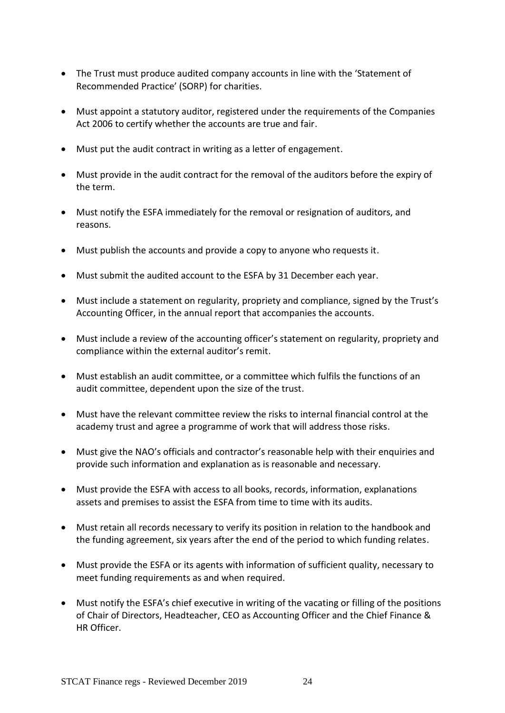- The Trust must produce audited company accounts in line with the 'Statement of Recommended Practice' (SORP) for charities.
- Must appoint a statutory auditor, registered under the requirements of the Companies Act 2006 to certify whether the accounts are true and fair.
- Must put the audit contract in writing as a letter of engagement.
- Must provide in the audit contract for the removal of the auditors before the expiry of the term.
- Must notify the ESFA immediately for the removal or resignation of auditors, and reasons.
- Must publish the accounts and provide a copy to anyone who requests it.
- Must submit the audited account to the ESFA by 31 December each year.
- Must include a statement on regularity, propriety and compliance, signed by the Trust's Accounting Officer, in the annual report that accompanies the accounts.
- Must include a review of the accounting officer's statement on regularity, propriety and compliance within the external auditor's remit.
- Must establish an audit committee, or a committee which fulfils the functions of an audit committee, dependent upon the size of the trust.
- Must have the relevant committee review the risks to internal financial control at the academy trust and agree a programme of work that will address those risks.
- Must give the NAO's officials and contractor's reasonable help with their enquiries and provide such information and explanation as is reasonable and necessary.
- Must provide the ESFA with access to all books, records, information, explanations assets and premises to assist the ESFA from time to time with its audits.
- Must retain all records necessary to verify its position in relation to the handbook and the funding agreement, six years after the end of the period to which funding relates.
- Must provide the ESFA or its agents with information of sufficient quality, necessary to meet funding requirements as and when required.
- Must notify the ESFA's chief executive in writing of the vacating or filling of the positions of Chair of Directors, Headteacher, CEO as Accounting Officer and the Chief Finance & HR Officer.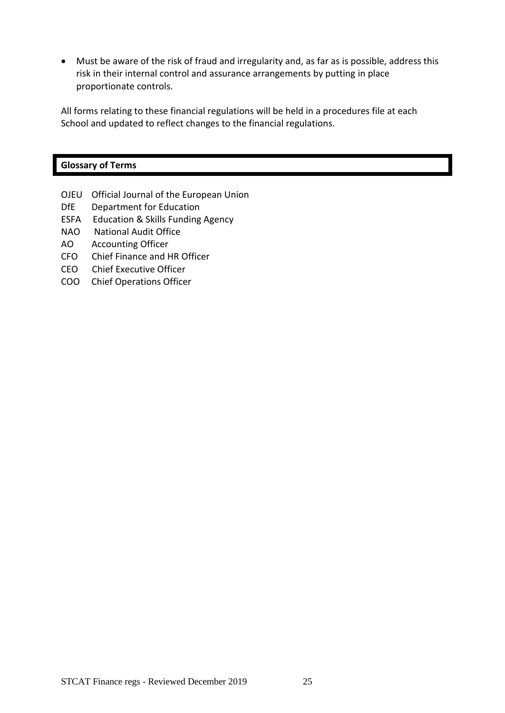• Must be aware of the risk of fraud and irregularity and, as far as is possible, address this risk in their internal control and assurance arrangements by putting in place proportionate controls.

All forms relating to these financial regulations will be held in a procedures file at each School and updated to reflect changes to the financial regulations.

| <b>Glossary of Terms</b> |                                             |  |  |  |  |
|--------------------------|---------------------------------------------|--|--|--|--|
|                          |                                             |  |  |  |  |
|                          | OJEU Official Journal of the European Union |  |  |  |  |

- DfE Department for Education
- ESFA Education & Skills Funding Agency
- NAO National Audit Office
- AO Accounting Officer
- CFO Chief Finance and HR Officer
- CEO Chief Executive Officer
- COO Chief Operations Officer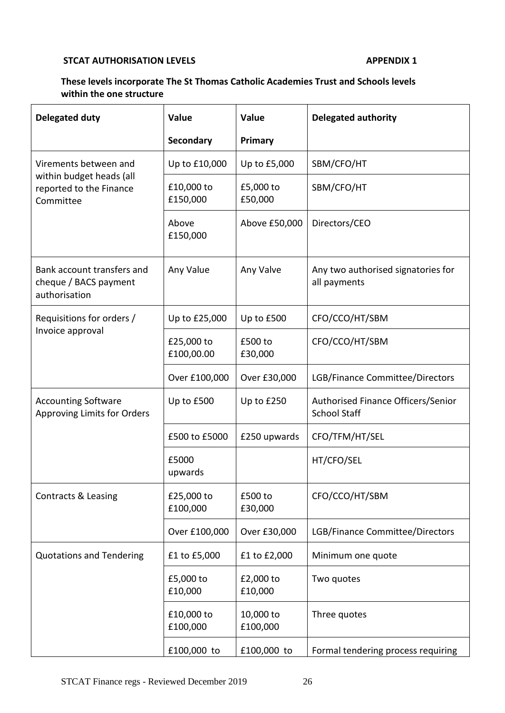### **STCAT AUTHORISATION LEVELS APPENDIX 1**

# **These levels incorporate The St Thomas Catholic Academies Trust and Schools levels within the one structure**

| <b>Delegated duty</b>                                                | Value                    | <b>Value</b>          | <b>Delegated authority</b>                                |  |  |  |
|----------------------------------------------------------------------|--------------------------|-----------------------|-----------------------------------------------------------|--|--|--|
|                                                                      | Secondary                | Primary               |                                                           |  |  |  |
| Virements between and                                                | Up to £10,000            | Up to £5,000          | SBM/CFO/HT                                                |  |  |  |
| within budget heads (all<br>reported to the Finance<br>Committee     | £10,000 to<br>£150,000   | £5,000 to<br>£50,000  | SBM/CFO/HT                                                |  |  |  |
|                                                                      | Above<br>£150,000        | Above £50,000         | Directors/CEO                                             |  |  |  |
| Bank account transfers and<br>cheque / BACS payment<br>authorisation | Any Value                | Any Valve             | Any two authorised signatories for<br>all payments        |  |  |  |
| Requisitions for orders /                                            | Up to £25,000            | Up to £500            | CFO/CCO/HT/SBM                                            |  |  |  |
| Invoice approval                                                     | £25,000 to<br>£100,00.00 | £500 to<br>£30,000    | CFO/CCO/HT/SBM                                            |  |  |  |
|                                                                      | Over £100,000            | Over £30,000          | LGB/Finance Committee/Directors                           |  |  |  |
| <b>Accounting Software</b><br><b>Approving Limits for Orders</b>     | Up to £500               | Up to £250            | Authorised Finance Officers/Senior<br><b>School Staff</b> |  |  |  |
|                                                                      | £500 to £5000            | £250 upwards          | CFO/TFM/HT/SEL                                            |  |  |  |
|                                                                      | £5000<br>upwards         |                       | HT/CFO/SEL                                                |  |  |  |
| Contracts & Leasing                                                  | £25,000 to<br>£100,000   | £500 to<br>£30,000    | CFO/CCO/HT/SBM                                            |  |  |  |
|                                                                      | Over £100,000            | Over £30,000          | LGB/Finance Committee/Directors                           |  |  |  |
| <b>Quotations and Tendering</b>                                      | £1 to £5,000             | £1 to £2,000          | Minimum one quote                                         |  |  |  |
|                                                                      | £5,000 to<br>£10,000     | £2,000 to<br>£10,000  | Two quotes                                                |  |  |  |
|                                                                      | £10,000 to<br>£100,000   | 10,000 to<br>£100,000 | Three quotes                                              |  |  |  |
|                                                                      | £100,000 to              | £100,000 to           | Formal tendering process requiring                        |  |  |  |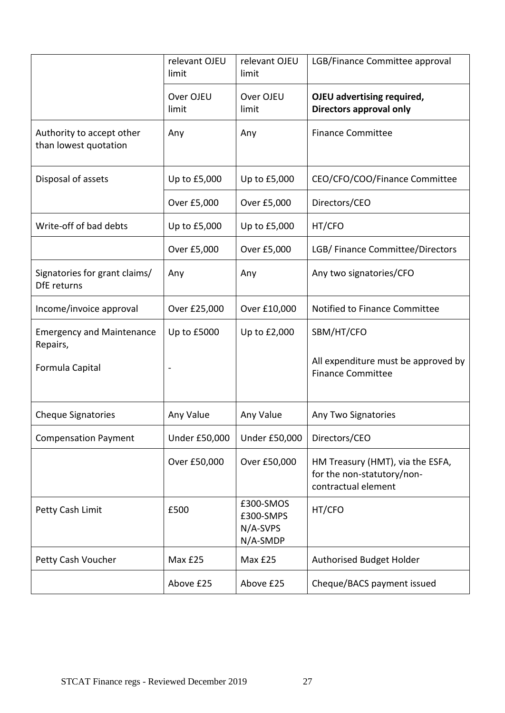|                                                     | relevant OJEU<br>limit | relevant OJEU<br>limit                         | LGB/Finance Committee approval                                                        |
|-----------------------------------------------------|------------------------|------------------------------------------------|---------------------------------------------------------------------------------------|
|                                                     | Over OJEU<br>limit     | Over OJEU<br>limit                             | OJEU advertising required,<br>Directors approval only                                 |
| Authority to accept other<br>than lowest quotation  | Any                    | Any                                            | <b>Finance Committee</b>                                                              |
| Disposal of assets                                  | Up to £5,000           | Up to £5,000                                   | CEO/CFO/COO/Finance Committee                                                         |
|                                                     | Over £5,000            | Over £5,000                                    | Directors/CEO                                                                         |
| Write-off of bad debts                              | Up to £5,000           | Up to £5,000                                   | HT/CFO                                                                                |
|                                                     | Over £5,000            | Over £5,000                                    | LGB/ Finance Committee/Directors                                                      |
| Signatories for grant claims/<br><b>DfE</b> returns | Any                    | Any                                            | Any two signatories/CFO                                                               |
| Income/invoice approval                             | Over £25,000           | Over £10,000                                   | Notified to Finance Committee                                                         |
| <b>Emergency and Maintenance</b><br>Repairs,        | Up to £5000            | Up to £2,000                                   | SBM/HT/CFO                                                                            |
| Formula Capital                                     |                        |                                                | All expenditure must be approved by<br><b>Finance Committee</b>                       |
| <b>Cheque Signatories</b>                           | Any Value              | Any Value                                      | Any Two Signatories                                                                   |
| <b>Compensation Payment</b>                         | <b>Under £50,000</b>   | <b>Under £50,000</b>                           | Directors/CEO                                                                         |
|                                                     | Over £50,000           | Over £50,000                                   | HM Treasury (HMT), via the ESFA,<br>for the non-statutory/non-<br>contractual element |
| Petty Cash Limit                                    | £500                   | £300-SMOS<br>£300-SMPS<br>N/A-SVPS<br>N/A-SMDP | HT/CFO                                                                                |
| Petty Cash Voucher                                  | Max £25                | Max £25                                        | Authorised Budget Holder                                                              |
|                                                     | Above £25              | Above £25                                      | Cheque/BACS payment issued                                                            |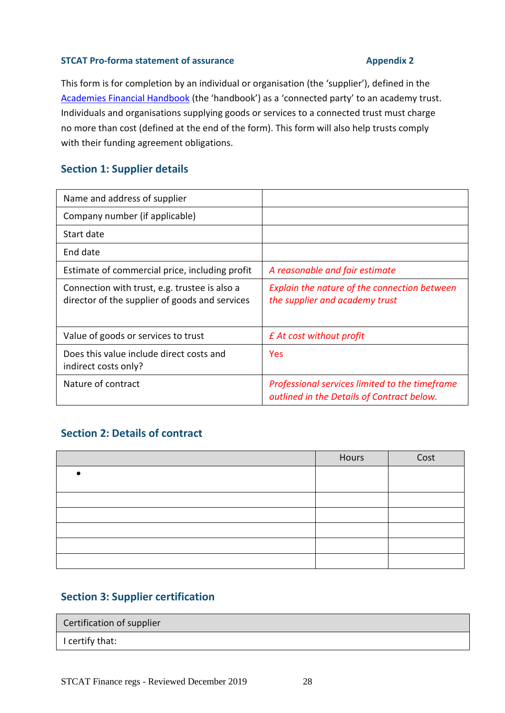### **STCAT** Pro-forma statement of assurance **Appendix 2**

This form is for completion by an individual or organisation (the 'supplier'), defined in the [Academies Financial Handbook](https://www.gov.uk/government/publications/academies-financial-handbook) (the 'handbook') as a 'connected party' to an academy trust. Individuals and organisations supplying goods or services to a connected trust must charge no more than cost (defined at the end of the form). This form will also help trusts comply with their funding agreement obligations.

# **Section 1: Supplier details**

| Name and address of supplier                                                                    |                                                                                              |
|-------------------------------------------------------------------------------------------------|----------------------------------------------------------------------------------------------|
| Company number (if applicable)                                                                  |                                                                                              |
| Start date                                                                                      |                                                                                              |
| End date                                                                                        |                                                                                              |
| Estimate of commercial price, including profit                                                  | A reasonable and fair estimate                                                               |
| Connection with trust, e.g. trustee is also a<br>director of the supplier of goods and services | Explain the nature of the connection between<br>the supplier and academy trust               |
| Value of goods or services to trust                                                             | £ At cost without profit                                                                     |
| Does this value include direct costs and<br>indirect costs only?                                | Yes                                                                                          |
| Nature of contract                                                                              | Professional services limited to the timeframe<br>outlined in the Details of Contract below. |

# **Section 2: Details of contract**

| Hours | Cost |
|-------|------|
|       |      |
|       |      |
|       |      |
|       |      |
|       |      |
|       |      |
|       |      |

# **Section 3: Supplier certification**

| Certification of supplier |  |
|---------------------------|--|
| I certify that:           |  |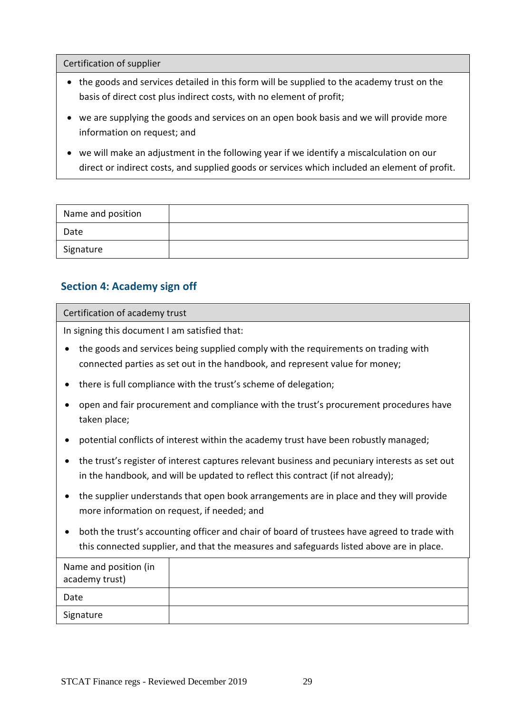Certification of supplier

- the goods and services detailed in this form will be supplied to the academy trust on the basis of direct cost plus indirect costs, with no element of profit;
- we are supplying the goods and services on an open book basis and we will provide more information on request; and
- we will make an adjustment in the following year if we identify a miscalculation on our direct or indirect costs, and supplied goods or services which included an element of profit.

| Name and position |  |
|-------------------|--|
| Date              |  |
| Signature         |  |

# **Section 4: Academy sign off**

#### Certification of academy trust

In signing this document I am satisfied that:

- the goods and services being supplied comply with the requirements on trading with connected parties as set out in the handbook, and represent value for money;
- there is full compliance with the trust's scheme of delegation;
- open and fair procurement and compliance with the trust's procurement procedures have taken place;
- potential conflicts of interest within the academy trust have been robustly managed;
- the trust's register of interest captures relevant business and pecuniary interests as set out in the handbook, and will be updated to reflect this contract (if not already);
- the supplier understands that open book arrangements are in place and they will provide more information on request, if needed; and
- both the trust's accounting officer and chair of board of trustees have agreed to trade with this connected supplier, and that the measures and safeguards listed above are in place.

| Name and position (in<br>academy trust) |  |
|-----------------------------------------|--|
| Date                                    |  |
| Signature                               |  |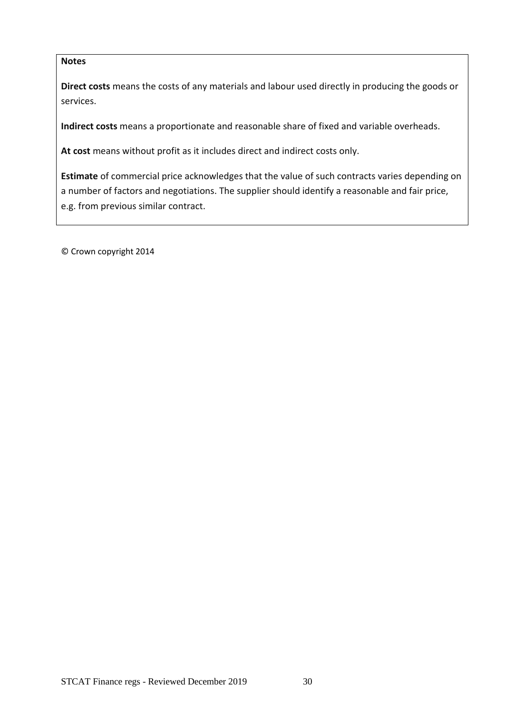# **Notes**

**Direct costs** means the costs of any materials and labour used directly in producing the goods or services.

**Indirect costs** means a proportionate and reasonable share of fixed and variable overheads.

**At cost** means without profit as it includes direct and indirect costs only.

**Estimate** of commercial price acknowledges that the value of such contracts varies depending on a number of factors and negotiations. The supplier should identify a reasonable and fair price, e.g. from previous similar contract.

© Crown copyright 2014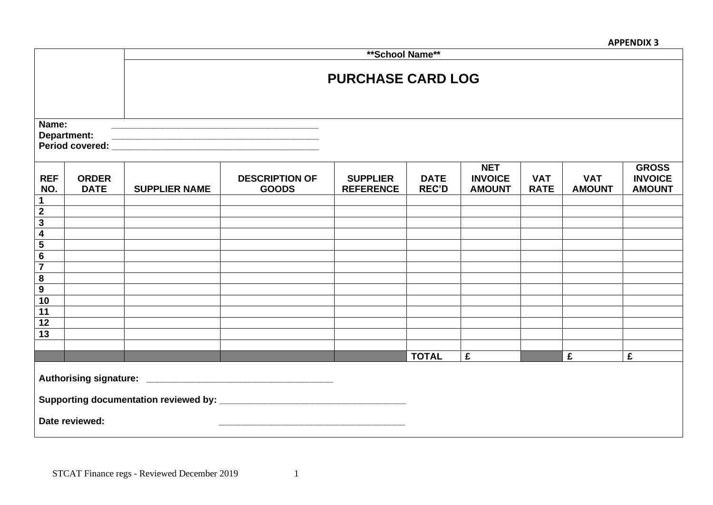**APPENDIX 3**

|                                        |                             | ** School Name**         |                                       |                                     |                             |                                               |                           |                             |                                                 |
|----------------------------------------|-----------------------------|--------------------------|---------------------------------------|-------------------------------------|-----------------------------|-----------------------------------------------|---------------------------|-----------------------------|-------------------------------------------------|
|                                        |                             | <b>PURCHASE CARD LOG</b> |                                       |                                     |                             |                                               |                           |                             |                                                 |
| Name:                                  | Department:                 |                          |                                       |                                     |                             |                                               |                           |                             |                                                 |
| <b>REF</b><br>NO.                      | <b>ORDER</b><br><b>DATE</b> | <b>SUPPLIER NAME</b>     | <b>DESCRIPTION OF</b><br><b>GOODS</b> | <b>SUPPLIER</b><br><b>REFERENCE</b> | <b>DATE</b><br><b>REC'D</b> | <b>NET</b><br><b>INVOICE</b><br><b>AMOUNT</b> | <b>VAT</b><br><b>RATE</b> | <b>VAT</b><br><b>AMOUNT</b> | <b>GROSS</b><br><b>INVOICE</b><br><b>AMOUNT</b> |
| $\mathbf 1$<br>$\overline{\mathbf{2}}$ |                             |                          |                                       |                                     |                             |                                               |                           |                             |                                                 |
| $\overline{\mathbf{3}}$                |                             |                          |                                       |                                     |                             |                                               |                           |                             |                                                 |
| $\overline{\mathbf{4}}$                |                             |                          |                                       |                                     |                             |                                               |                           |                             |                                                 |
| $\overline{\mathbf{5}}$                |                             |                          |                                       |                                     |                             |                                               |                           |                             |                                                 |
| $\bf 6$                                |                             |                          |                                       |                                     |                             |                                               |                           |                             |                                                 |
| $\overline{\mathbf{7}}$                |                             |                          |                                       |                                     |                             |                                               |                           |                             |                                                 |
| ${\bf 8}$                              |                             |                          |                                       |                                     |                             |                                               |                           |                             |                                                 |
| $\overline{9}$                         |                             |                          |                                       |                                     |                             |                                               |                           |                             |                                                 |
| 10                                     |                             |                          |                                       |                                     |                             |                                               |                           |                             |                                                 |
| $\overline{11}$                        |                             |                          |                                       |                                     |                             |                                               |                           |                             |                                                 |
| 12                                     |                             |                          |                                       |                                     |                             |                                               |                           |                             |                                                 |
| 13                                     |                             |                          |                                       |                                     |                             |                                               |                           |                             |                                                 |
|                                        |                             |                          |                                       |                                     |                             |                                               |                           |                             |                                                 |
|                                        |                             |                          |                                       |                                     | <b>TOTAL</b>                | £                                             |                           | £                           | £                                               |
|                                        |                             |                          |                                       |                                     |                             |                                               |                           |                             |                                                 |
|                                        | Date reviewed:              |                          |                                       |                                     |                             |                                               |                           |                             |                                                 |